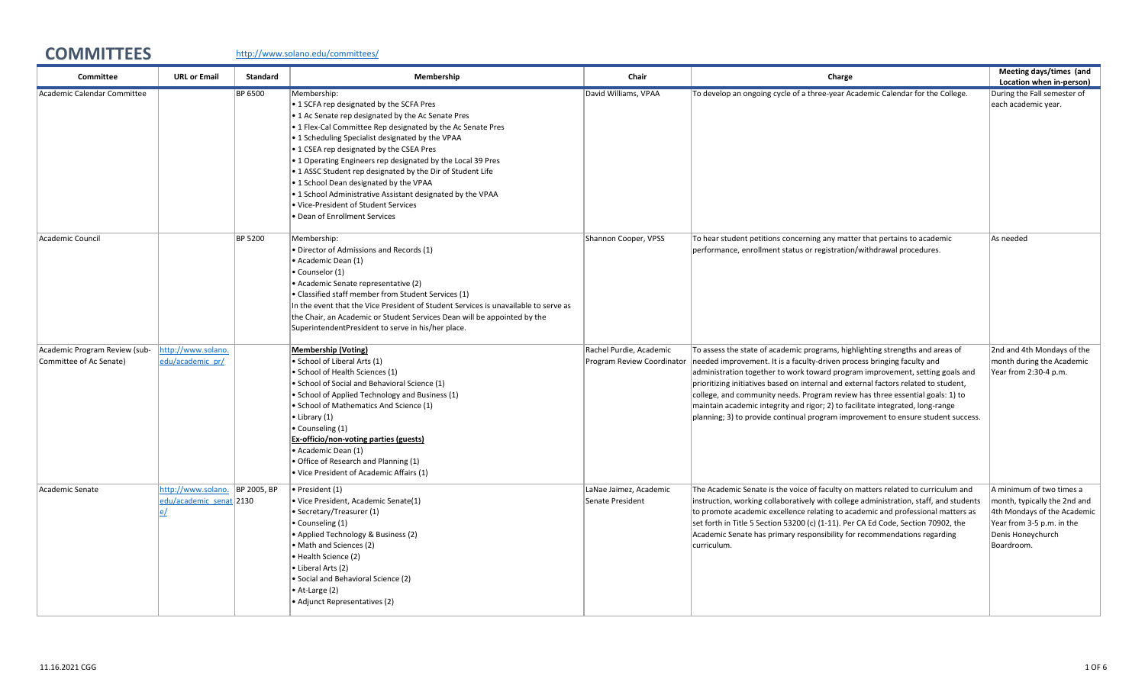## COMMITTEES <http://www.solano.edu/committees/>

| Committee                                                | <b>URL or Email</b>                                       | <b>Standard</b> | Membership                                                                                                                                                                                                                                                                                                                                                                                                                                                                                                                                                                                 | Chair                                                 | Charge                                                                                                                                                                                                                                                                                                                                                                                                                                                                                                                                                                                  | Meeting days/times (and<br>Location when in-person)                                                                                                     |
|----------------------------------------------------------|-----------------------------------------------------------|-----------------|--------------------------------------------------------------------------------------------------------------------------------------------------------------------------------------------------------------------------------------------------------------------------------------------------------------------------------------------------------------------------------------------------------------------------------------------------------------------------------------------------------------------------------------------------------------------------------------------|-------------------------------------------------------|-----------------------------------------------------------------------------------------------------------------------------------------------------------------------------------------------------------------------------------------------------------------------------------------------------------------------------------------------------------------------------------------------------------------------------------------------------------------------------------------------------------------------------------------------------------------------------------------|---------------------------------------------------------------------------------------------------------------------------------------------------------|
| Academic Calendar Committee                              |                                                           | BP 6500         | Membership:<br>• 1 SCFA rep designated by the SCFA Pres<br>• 1 Ac Senate rep designated by the Ac Senate Pres<br>• 1 Flex-Cal Committee Rep designated by the Ac Senate Pres<br>• 1 Scheduling Specialist designated by the VPAA<br>• 1 CSEA rep designated by the CSEA Pres<br>• 1 Operating Engineers rep designated by the Local 39 Pres<br>• 1 ASSC Student rep designated by the Dir of Student Life<br>. 1 School Dean designated by the VPAA<br>. 1 School Administrative Assistant designated by the VPAA<br>. Vice-President of Student Services<br>• Dean of Enrollment Services | David Williams, VPAA                                  | To develop an ongoing cycle of a three-year Academic Calendar for the College.                                                                                                                                                                                                                                                                                                                                                                                                                                                                                                          | During the Fall semester of<br>each academic year.                                                                                                      |
| Academic Council                                         |                                                           | BP 5200         | Membership:<br>· Director of Admissions and Records (1)<br>• Academic Dean (1)<br>Counselor (1)<br>• Academic Senate representative (2)<br>• Classified staff member from Student Services (1)<br>In the event that the Vice President of Student Services is unavailable to serve as<br>the Chair, an Academic or Student Services Dean will be appointed by the<br>SuperintendentPresident to serve in his/her place.                                                                                                                                                                    | Shannon Cooper, VPSS                                  | To hear student petitions concerning any matter that pertains to academic<br>performance, enrollment status or registration/withdrawal procedures.                                                                                                                                                                                                                                                                                                                                                                                                                                      | As needed                                                                                                                                               |
| Academic Program Review (sub-<br>Committee of Ac Senate) | http://www.solano.<br>edu/academic_pr/                    |                 | <b>Membership (Voting)</b><br>· School of Liberal Arts (1)<br>· School of Health Sciences (1)<br>· School of Social and Behavioral Science (1)<br>• School of Applied Technology and Business (1)<br>· School of Mathematics And Science (1)<br>• Library (1)<br>• Counseling (1)<br>Ex-officio/non-voting parties (guests)<br>· Academic Dean (1)<br>· Office of Research and Planning (1)<br>. Vice President of Academic Affairs (1)                                                                                                                                                    | Rachel Purdie, Academic<br>Program Review Coordinator | To assess the state of academic programs, highlighting strengths and areas of<br>needed improvement. It is a faculty-driven process bringing faculty and<br>administration together to work toward program improvement, setting goals and<br>prioritizing initiatives based on internal and external factors related to student,<br>college, and community needs. Program review has three essential goals: 1) to<br>maintain academic integrity and rigor; 2) to facilitate integrated, long-range<br>planning; 3) to provide continual program improvement to ensure student success. | 2nd and 4th Mondays of the<br>month during the Academic<br>Year from 2:30-4 p.m.                                                                        |
| Academic Senate                                          | http://www.solano. BP 2005, BP<br>edu/academic senat 2130 |                 | · President (1)<br>· Vice President, Academic Senate(1)<br>• Secretary/Treasurer (1)<br>• Counseling (1)<br>• Applied Technology & Business (2)<br>• Math and Sciences (2)<br>• Health Science (2)<br>• Liberal Arts (2)<br>· Social and Behavioral Science (2)<br>• At-Large (2)<br>• Adjunct Representatives (2)                                                                                                                                                                                                                                                                         | LaNae Jaimez, Academic<br>Senate President            | The Academic Senate is the voice of faculty on matters related to curriculum and<br>instruction, working collaboratively with college administration, staff, and students<br>to promote academic excellence relating to academic and professional matters as<br>set forth in Title 5 Section 53200 (c) (1-11). Per CA Ed Code, Section 70902, the<br>Academic Senate has primary responsibility for recommendations regarding<br>curriculum.                                                                                                                                            | A minimum of two times a<br>month, typically the 2nd and<br>4th Mondays of the Academic<br>Year from 3-5 p.m. in the<br>Denis Honeychurch<br>Boardroom. |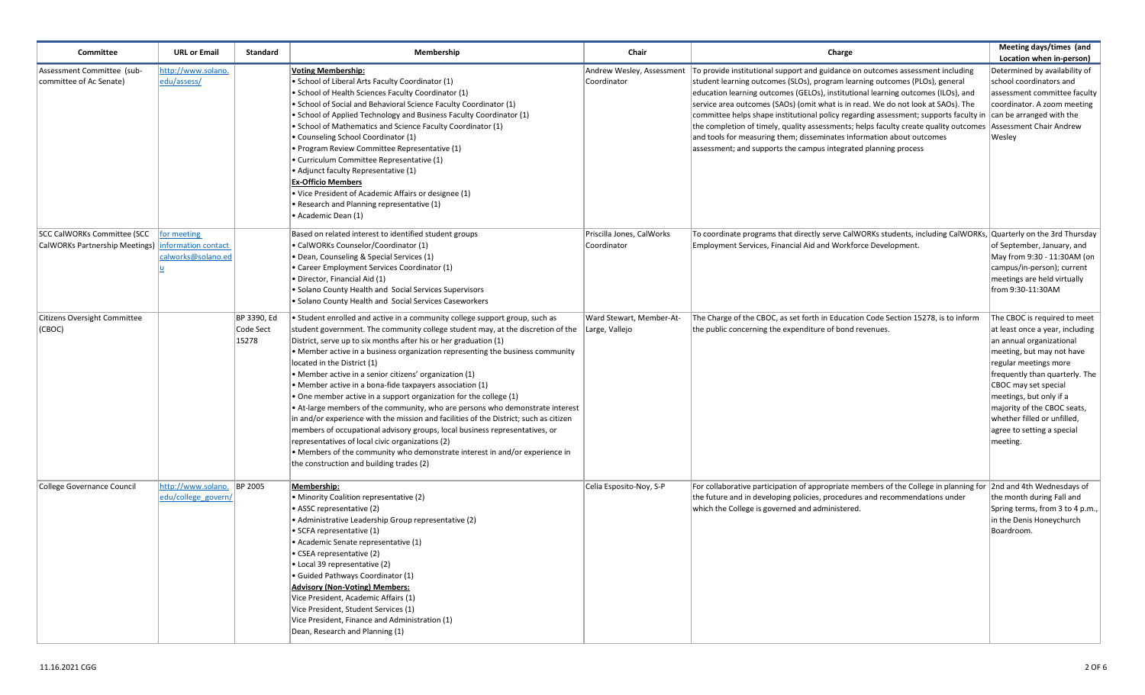| Committee                                                     | <b>URL or Email</b>                                      | Standard                          | Membership                                                                                                                                                                                                                                                                                                                                                                                                                                                                                                                                                                                                                                                                                                                                                                                                                                                                                                                                                                                            | Chair                                    | Charge                                                                                                                                                                                                                                                                                                                                                                                                                                                                                                                                                                                                                                                                                                                                         | Meeting days/times (and<br>Location when in-person)                                                                                                                                                                                                                                                                                            |
|---------------------------------------------------------------|----------------------------------------------------------|-----------------------------------|-------------------------------------------------------------------------------------------------------------------------------------------------------------------------------------------------------------------------------------------------------------------------------------------------------------------------------------------------------------------------------------------------------------------------------------------------------------------------------------------------------------------------------------------------------------------------------------------------------------------------------------------------------------------------------------------------------------------------------------------------------------------------------------------------------------------------------------------------------------------------------------------------------------------------------------------------------------------------------------------------------|------------------------------------------|------------------------------------------------------------------------------------------------------------------------------------------------------------------------------------------------------------------------------------------------------------------------------------------------------------------------------------------------------------------------------------------------------------------------------------------------------------------------------------------------------------------------------------------------------------------------------------------------------------------------------------------------------------------------------------------------------------------------------------------------|------------------------------------------------------------------------------------------------------------------------------------------------------------------------------------------------------------------------------------------------------------------------------------------------------------------------------------------------|
| Assessment Committee (sub-<br>committee of Ac Senate)         | http://www.solano.<br>edu/assess/                        |                                   | <b>Voting Membership:</b><br>• School of Liberal Arts Faculty Coordinator (1)<br>School of Health Sciences Faculty Coordinator (1)<br>School of Social and Behavioral Science Faculty Coordinator (1)<br>. School of Applied Technology and Business Faculty Coordinator (1)<br>School of Mathematics and Science Faculty Coordinator (1)<br>Counseling School Coordinator (1)<br>• Program Review Committee Representative (1)<br>• Curriculum Committee Representative (1)<br>• Adjunct faculty Representative (1)<br><b>Ex-Officio Members</b><br>. Vice President of Academic Affairs or designee (1)<br>• Research and Planning representative (1)<br>• Academic Dean (1)                                                                                                                                                                                                                                                                                                                        | Coordinator                              | Andrew Wesley, Assessment   To provide institutional support and guidance on outcomes assessment including<br>student learning outcomes (SLOs), program learning outcomes (PLOs), general<br>education learning outcomes (GELOs), institutional learning outcomes (ILOs), and<br>service area outcomes (SAOs) (omit what is in read. We do not look at SAOs). The<br>committee helps shape institutional policy regarding assessment; supports faculty in can be arranged with the<br>the completion of timely, quality assessments; helps faculty create quality outcomes Assessment Chair Andrew<br>and tools for measuring them; disseminates information about outcomes<br>assessment; and supports the campus integrated planning process | Determined by availability of<br>school coordinators and<br>assessment committee faculty<br>coordinator. A zoom meeting<br>Wesley                                                                                                                                                                                                              |
| SCC CalWORKs Committee (SCC<br>CalWORKs Partnership Meetings) | for meeting<br>information contact<br>calworks@solano.ed |                                   | Based on related interest to identified student groups<br>• CalWORKs Counselor/Coordinator (1)<br>• Dean, Counseling & Special Services (1)<br>Career Employment Services Coordinator (1)<br>· Director, Financial Aid (1)<br>Solano County Health and Social Services Supervisors<br>Solano County Health and Social Services Caseworkers                                                                                                                                                                                                                                                                                                                                                                                                                                                                                                                                                                                                                                                            | Priscilla Jones, CalWorks<br>Coordinator | To coordinate programs that directly serve CalWORKs students, including CalWORKs, Quarterly on the 3rd Thursday<br>Employment Services, Financial Aid and Workforce Development.                                                                                                                                                                                                                                                                                                                                                                                                                                                                                                                                                               | of September, January, and<br>May from 9:30 - 11:30AM (on<br>campus/in-person); current<br>meetings are held virtually<br>from 9:30-11:30AM                                                                                                                                                                                                    |
| Citizens Oversight Committee<br>(CBOC)                        |                                                          | BP 3390, Ed<br>Code Sect<br>15278 | • Student enrolled and active in a community college support group, such as<br>student government. The community college student may, at the discretion of the   Large, Vallejo<br>District, serve up to six months after his or her graduation (1)<br>• Member active in a business organization representing the business community<br>located in the District (1)<br>• Member active in a senior citizens' organization (1)<br>• Member active in a bona-fide taxpayers association (1)<br>One member active in a support organization for the college (1)<br>• At-large members of the community, who are persons who demonstrate interest<br>in and/or experience with the mission and facilities of the District; such as citizen<br>members of occupational advisory groups, local business representatives, or<br>representatives of local civic organizations (2)<br>• Members of the community who demonstrate interest in and/or experience in<br>the construction and building trades (2) | Ward Stewart, Member-At-                 | The Charge of the CBOC, as set forth in Education Code Section 15278, is to inform<br>the public concerning the expenditure of bond revenues.                                                                                                                                                                                                                                                                                                                                                                                                                                                                                                                                                                                                  | The CBOC is required to meet<br>at least once a year, including<br>an annual organizational<br>meeting, but may not have<br>regular meetings more<br>frequently than quarterly. The<br>CBOC may set special<br>meetings, but only if a<br>majority of the CBOC seats,<br>whether filled or unfilled,<br>agree to setting a special<br>meeting. |
| College Governance Council                                    | http://www.solano. BP 2005<br>edu/college govern/        |                                   | Membership:<br>· Minority Coalition representative (2)<br>ASSC representative (2)<br>Administrative Leadership Group representative (2)<br>• SCFA representative (1)<br>• Academic Senate representative (1)<br>• CSEA representative (2)<br>· Local 39 representative (2)<br>· Guided Pathways Coordinator (1)<br><b>Advisory (Non-Voting) Members:</b><br>Vice President, Academic Affairs (1)<br>Vice President, Student Services (1)<br>Vice President, Finance and Administration (1)<br>Dean, Research and Planning (1)                                                                                                                                                                                                                                                                                                                                                                                                                                                                         | Celia Esposito-Noy, S-P                  | For collaborative participation of appropriate members of the College in planning for  2nd and 4th Wednesdays of<br>the future and in developing policies, procedures and recommendations under<br>which the College is governed and administered.                                                                                                                                                                                                                                                                                                                                                                                                                                                                                             | the month during Fall and<br>Spring terms, from 3 to 4 p.m.,<br>in the Denis Honeychurch<br>Boardroom.                                                                                                                                                                                                                                         |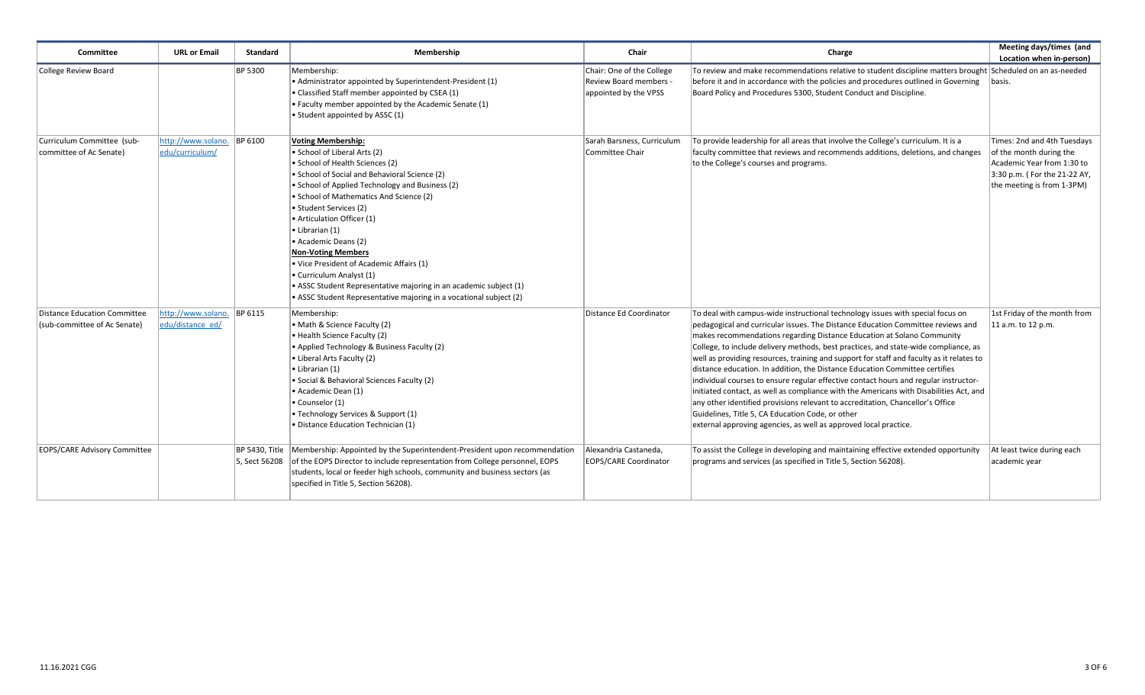| Committee                                                    | <b>URL or Email</b>                            | <b>Standard</b>                 | Membership                                                                                                                                                                                                                                                                                                                                                                                                                                                                                                                                                                                     | Chair                                                                        | Charge                                                                                                                                                                                                                                                                                                                                                                                                                                                                                                                                                                                                                                                                                                                                                                                                                                                                                                    | Meeting days/times (and<br>Location when in-person)                                                                                                |
|--------------------------------------------------------------|------------------------------------------------|---------------------------------|------------------------------------------------------------------------------------------------------------------------------------------------------------------------------------------------------------------------------------------------------------------------------------------------------------------------------------------------------------------------------------------------------------------------------------------------------------------------------------------------------------------------------------------------------------------------------------------------|------------------------------------------------------------------------------|-----------------------------------------------------------------------------------------------------------------------------------------------------------------------------------------------------------------------------------------------------------------------------------------------------------------------------------------------------------------------------------------------------------------------------------------------------------------------------------------------------------------------------------------------------------------------------------------------------------------------------------------------------------------------------------------------------------------------------------------------------------------------------------------------------------------------------------------------------------------------------------------------------------|----------------------------------------------------------------------------------------------------------------------------------------------------|
| College Review Board                                         |                                                | <b>BP 5300</b>                  | Membership:<br>• Administrator appointed by Superintendent-President (1)<br>• Classified Staff member appointed by CSEA (1)<br>• Faculty member appointed by the Academic Senate (1)<br>• Student appointed by ASSC (1)                                                                                                                                                                                                                                                                                                                                                                        | Chair: One of the College<br>Review Board members -<br>appointed by the VPSS | To review and make recommendations relative to student discipline matters brought Scheduled on an as-needed<br>before it and in accordance with the policies and procedures outlined in Governing<br>Board Policy and Procedures 5300, Student Conduct and Discipline.                                                                                                                                                                                                                                                                                                                                                                                                                                                                                                                                                                                                                                    | basis.                                                                                                                                             |
| Curriculum Committee (sub-<br>committee of Ac Senate)        | http://www.solano.<br>edu/curriculum/          | <b>BP 6100</b>                  | <b>Voting Membership:</b><br>• School of Liberal Arts (2)<br>• School of Health Sciences (2)<br>• School of Social and Behavioral Science (2)<br>• School of Applied Technology and Business (2)<br>• School of Mathematics And Science (2)<br>• Student Services (2)<br>• Articulation Officer (1)<br>• Librarian (1)<br>• Academic Deans (2)<br><b>Non-Voting Members</b><br>. Vice President of Academic Affairs (1)<br>• Curriculum Analyst (1)<br>• ASSC Student Representative majoring in an academic subject (1)<br>• ASSC Student Representative majoring in a vocational subject (2) | Sarah Barsness, Curriculum<br>Committee Chair                                | To provide leadership for all areas that involve the College's curriculum. It is a<br>faculty committee that reviews and recommends additions, deletions, and changes<br>to the College's courses and programs.                                                                                                                                                                                                                                                                                                                                                                                                                                                                                                                                                                                                                                                                                           | Times: 2nd and 4th Tuesdays<br>of the month during the<br>Academic Year from 1:30 to<br>3:30 p.m. (For the 21-22 AY,<br>the meeting is from 1-3PM) |
| Distance Education Committee<br>(sub-committee of Ac Senate) | http://www.solano. BP 6115<br>edu/distance ed/ |                                 | Membership:<br>• Math & Science Faculty (2)<br>• Health Science Faculty (2)<br>• Applied Technology & Business Faculty (2)<br>• Liberal Arts Faculty (2)<br>• Librarian (1)<br>· Social & Behavioral Sciences Faculty (2)<br>• Academic Dean (1)<br>• Counselor (1)<br>• Technology Services & Support (1)<br>· Distance Education Technician (1)                                                                                                                                                                                                                                              | Distance Ed Coordinator                                                      | To deal with campus-wide instructional technology issues with special focus on<br>pedagogical and curricular issues. The Distance Education Committee reviews and<br>makes recommendations regarding Distance Education at Solano Community<br>College, to include delivery methods, best practices, and state-wide compliance, as<br>well as providing resources, training and support for staff and faculty as it relates to<br>distance education. In addition, the Distance Education Committee certifies<br>individual courses to ensure regular effective contact hours and regular instructor-<br>initiated contact, as well as compliance with the Americans with Disabilities Act, and<br>any other identified provisions relevant to accreditation, Chancellor's Office<br>Guidelines, Title 5, CA Education Code, or other<br>external approving agencies, as well as approved local practice. | 1st Friday of the month from<br>11 a.m. to 12 p.m.                                                                                                 |
| EOPS/CARE Advisory Committee                                 |                                                | BP 5430, Title<br>5, Sect 56208 | Membership: Appointed by the Superintendent-President upon recommendation<br>of the EOPS Director to include representation from College personnel, EOPS<br>students, local or feeder high schools, community and business sectors (as<br>specified in Title 5, Section 56208).                                                                                                                                                                                                                                                                                                                | Alexandria Castaneda,<br><b>EOPS/CARE Coordinator</b>                        | To assist the College in developing and maintaining effective extended opportunity<br>programs and services (as specified in Title 5, Section 56208).                                                                                                                                                                                                                                                                                                                                                                                                                                                                                                                                                                                                                                                                                                                                                     | At least twice during each<br>academic year                                                                                                        |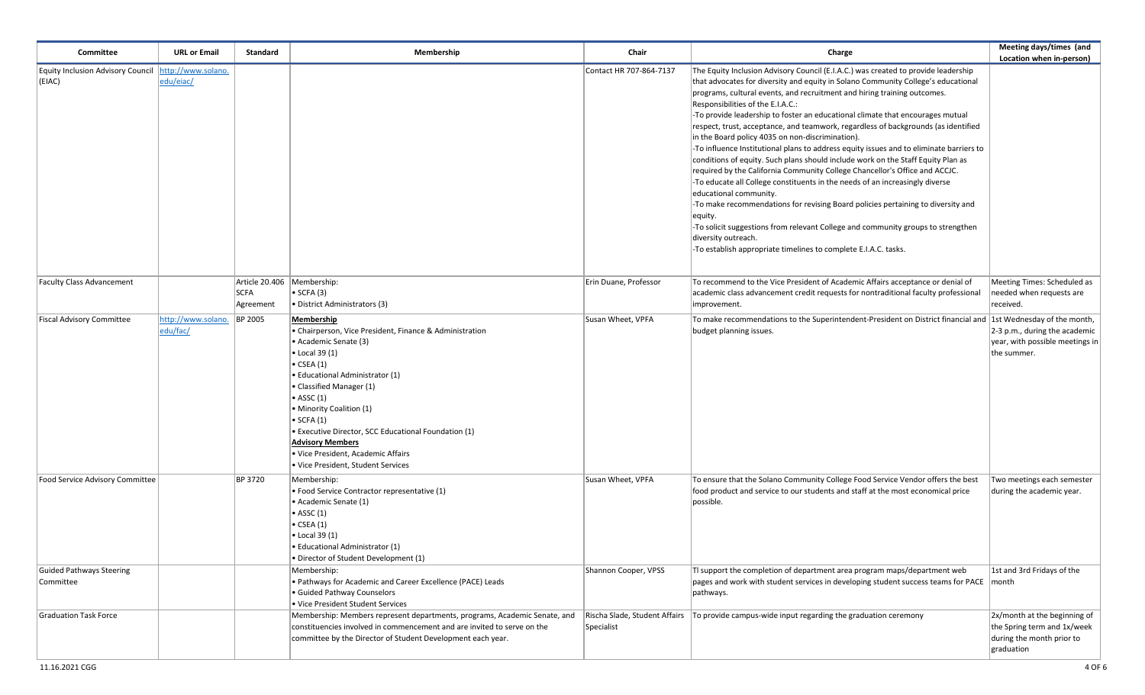| Committee                                                        | <b>URL or Email</b>            | <b>Standard</b>          | Membership                                                                                                                                                                                                                                                                                                                                                                                                                                     | Chair                   | Charge                                                                                                                                                                                                                                                                                                                                                                                                                                                                                                                                                                                                                                                                                                                                                                                                                                                                                                                                                                                                                                                                                                                                                                  | Meeting days/times (and<br>Location when in-person)                                                    |
|------------------------------------------------------------------|--------------------------------|--------------------------|------------------------------------------------------------------------------------------------------------------------------------------------------------------------------------------------------------------------------------------------------------------------------------------------------------------------------------------------------------------------------------------------------------------------------------------------|-------------------------|-------------------------------------------------------------------------------------------------------------------------------------------------------------------------------------------------------------------------------------------------------------------------------------------------------------------------------------------------------------------------------------------------------------------------------------------------------------------------------------------------------------------------------------------------------------------------------------------------------------------------------------------------------------------------------------------------------------------------------------------------------------------------------------------------------------------------------------------------------------------------------------------------------------------------------------------------------------------------------------------------------------------------------------------------------------------------------------------------------------------------------------------------------------------------|--------------------------------------------------------------------------------------------------------|
| Equity Inclusion Advisory Council   http://www.solano.<br>(EIAC) | edu/eiac/                      |                          |                                                                                                                                                                                                                                                                                                                                                                                                                                                | Contact HR 707-864-7137 | The Equity Inclusion Advisory Council (E.I.A.C.) was created to provide leadership<br>that advocates for diversity and equity in Solano Community College's educational<br>programs, cultural events, and recruitment and hiring training outcomes.<br>Responsibilities of the E.I.A.C.:<br>To provide leadership to foster an educational climate that encourages mutual<br>respect, trust, acceptance, and teamwork, regardless of backgrounds (as identified<br>in the Board policy 4035 on non-discrimination).<br>To influence Institutional plans to address equity issues and to eliminate barriers to<br>conditions of equity. Such plans should include work on the Staff Equity Plan as<br>required by the California Community College Chancellor's Office and ACCJC.<br>-To educate all College constituents in the needs of an increasingly diverse<br>educational community.<br>-To make recommendations for revising Board policies pertaining to diversity and<br>equity.<br>-To solicit suggestions from relevant College and community groups to strengthen<br>diversity outreach.<br>-To establish appropriate timelines to complete E.I.A.C. tasks. |                                                                                                        |
| <b>Faculty Class Advancement</b>                                 |                                | <b>SCFA</b><br>Agreement | Article 20.406   Membership:<br>• SCFA (3)<br>• District Administrators (3)                                                                                                                                                                                                                                                                                                                                                                    | Erin Duane, Professor   | To recommend to the Vice President of Academic Affairs acceptance or denial of<br>academic class advancement credit requests for nontraditional faculty professional<br>improvement.                                                                                                                                                                                                                                                                                                                                                                                                                                                                                                                                                                                                                                                                                                                                                                                                                                                                                                                                                                                    | Meeting Times: Scheduled as<br>needed when requests are<br>received.                                   |
| <b>Fiscal Advisory Committee</b>                                 | http://www.solano.<br>edu/fac/ | <b>BP 2005</b>           | Membership<br>• Chairperson, Vice President, Finance & Administration<br>• Academic Senate (3)<br>• Local 39 (1)<br>$\bullet$ CSEA (1)<br>· Educational Administrator (1)<br>• Classified Manager (1)<br>$\bullet$ ASSC (1)<br>• Minority Coalition (1)<br>$\bullet$ SCFA $(1)$<br>· Executive Director, SCC Educational Foundation (1)<br><b>Advisory Members</b><br>· Vice President, Academic Affairs<br>· Vice President, Student Services | Susan Wheet, VPFA       | To make recommendations to the Superintendent-President on District financial and  1st Wednesday of the month,<br>budget planning issues.                                                                                                                                                                                                                                                                                                                                                                                                                                                                                                                                                                                                                                                                                                                                                                                                                                                                                                                                                                                                                               | 2-3 p.m., during the academic<br>year, with possible meetings in<br>the summer.                        |
| Food Service Advisory Committee                                  |                                | BP 3720                  | Membership:<br>· Food Service Contractor representative (1)<br>• Academic Senate (1)<br>$\bullet$ ASSC (1)<br>• CSEA (1)<br>• Local 39 (1)<br>• Educational Administrator (1)<br>• Director of Student Development (1)                                                                                                                                                                                                                         | Susan Wheet, VPFA       | To ensure that the Solano Community College Food Service Vendor offers the best<br>food product and service to our students and staff at the most economical price<br>possible.                                                                                                                                                                                                                                                                                                                                                                                                                                                                                                                                                                                                                                                                                                                                                                                                                                                                                                                                                                                         | Two meetings each semester<br>during the academic year.                                                |
| Guided Pathways Steering<br>Committee                            |                                |                          | Membership:<br>· Pathways for Academic and Career Excellence (PACE) Leads<br>· Guided Pathway Counselors<br>· Vice President Student Services                                                                                                                                                                                                                                                                                                  | Shannon Cooper, VPSS    | TI support the completion of department area program maps/department web<br>pages and work with student services in developing student success teams for PACE   month<br>pathways.                                                                                                                                                                                                                                                                                                                                                                                                                                                                                                                                                                                                                                                                                                                                                                                                                                                                                                                                                                                      | 1st and 3rd Fridays of the                                                                             |
| <b>Graduation Task Force</b>                                     |                                |                          | Membership: Members represent departments, programs, Academic Senate, and<br>constituencies involved in commencement and are invited to serve on the<br>committee by the Director of Student Development each year.                                                                                                                                                                                                                            | Specialist              | Rischa Slade, Student Affairs   To provide campus-wide input regarding the graduation ceremony                                                                                                                                                                                                                                                                                                                                                                                                                                                                                                                                                                                                                                                                                                                                                                                                                                                                                                                                                                                                                                                                          | 2x/month at the beginning of<br>the Spring term and 1x/week<br>during the month prior to<br>graduation |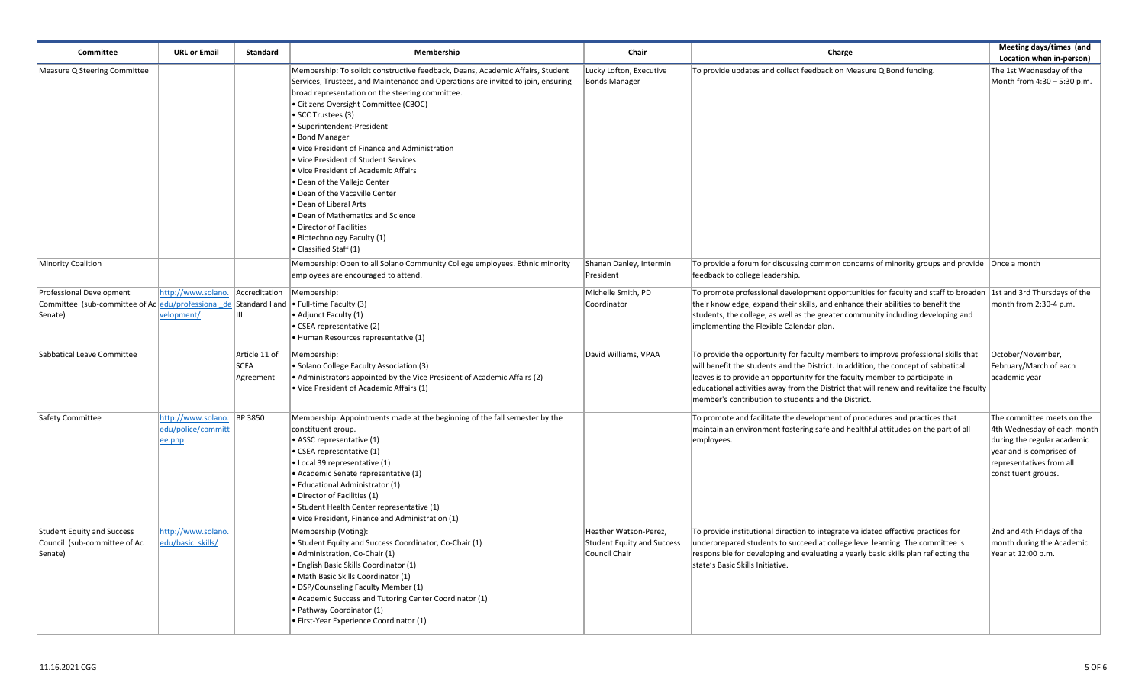| Committee                                                                                                                                     | <b>URL or Email</b>                                | <b>Standard</b>                           | Membership                                                                                                                                                                                                                                                                                                                                                                                                                                                                                                                                                                                                                                                                                   | Chair                                                                       | Charge                                                                                                                                                                                                                                                                                                                                                                                                      | Meeting days/times (and<br>Location when in-person)                                                                                                                     |
|-----------------------------------------------------------------------------------------------------------------------------------------------|----------------------------------------------------|-------------------------------------------|----------------------------------------------------------------------------------------------------------------------------------------------------------------------------------------------------------------------------------------------------------------------------------------------------------------------------------------------------------------------------------------------------------------------------------------------------------------------------------------------------------------------------------------------------------------------------------------------------------------------------------------------------------------------------------------------|-----------------------------------------------------------------------------|-------------------------------------------------------------------------------------------------------------------------------------------------------------------------------------------------------------------------------------------------------------------------------------------------------------------------------------------------------------------------------------------------------------|-------------------------------------------------------------------------------------------------------------------------------------------------------------------------|
| Measure Q Steering Committee                                                                                                                  |                                                    |                                           | Membership: To solicit constructive feedback, Deans, Academic Affairs, Student<br>Services, Trustees, and Maintenance and Operations are invited to join, ensuring<br>broad representation on the steering committee.<br>· Citizens Oversight Committee (CBOC)<br>• SCC Trustees (3)<br>· Superintendent-President<br>• Bond Manager<br>. Vice President of Finance and Administration<br>· Vice President of Student Services<br>. Vice President of Academic Affairs<br>• Dean of the Vallejo Center<br>. Dean of the Vacaville Center<br>• Dean of Liberal Arts<br>· Dean of Mathematics and Science<br>· Director of Facilities<br>• Biotechnology Faculty (1)<br>• Classified Staff (1) | Lucky Lofton, Executive<br><b>Bonds Manager</b>                             | To provide updates and collect feedback on Measure Q Bond funding.                                                                                                                                                                                                                                                                                                                                          | The 1st Wednesday of the<br>Month from 4:30 - 5:30 p.m.                                                                                                                 |
| Minority Coalition                                                                                                                            |                                                    |                                           | Membership: Open to all Solano Community College employees. Ethnic minority<br>employees are encouraged to attend.                                                                                                                                                                                                                                                                                                                                                                                                                                                                                                                                                                           | Shanan Danley, Intermin<br>President                                        | To provide a forum for discussing common concerns of minority groups and provide   Once a month<br>feedback to college leadership.                                                                                                                                                                                                                                                                          |                                                                                                                                                                         |
| <b>Professional Development</b><br>Committee (sub-committee of Ac $ edu/professional$ de Standard I and $ •$ Full-time Faculty (3)<br>Senate) | http://www.solano. Accreditation<br>velopment/     |                                           | Membership:<br>• Adjunct Faculty (1)<br>• CSEA representative (2)<br>· Human Resources representative (1)                                                                                                                                                                                                                                                                                                                                                                                                                                                                                                                                                                                    | Michelle Smith, PD<br>Coordinator                                           | To promote professional development opportunities for faculty and staff to broaden 1st and 3rd Thursdays of the<br>their knowledge, expand their skills, and enhance their abilities to benefit the<br>students, the college, as well as the greater community including developing and<br>implementing the Flexible Calendar plan.                                                                         | month from 2:30-4 p.m.                                                                                                                                                  |
| Sabbatical Leave Committee                                                                                                                    |                                                    | Article 11 of<br><b>SCFA</b><br>Agreement | Membership:<br>· Solano College Faculty Association (3)<br>• Administrators appointed by the Vice President of Academic Affairs (2)<br>• Vice President of Academic Affairs (1)                                                                                                                                                                                                                                                                                                                                                                                                                                                                                                              | David Williams, VPAA                                                        | To provide the opportunity for faculty members to improve professional skills that<br>will benefit the students and the District. In addition, the concept of sabbatical<br>leaves is to provide an opportunity for the faculty member to participate in<br>educational activities away from the District that will renew and revitalize the faculty<br>member's contribution to students and the District. | October/November,<br>February/March of each<br>academic year                                                                                                            |
| Safety Committee                                                                                                                              | http://www.solano.<br>edu/police/committ<br>ee.php | <b>BP 3850</b>                            | Membership: Appointments made at the beginning of the fall semester by the<br>constituent group.<br>• ASSC representative (1)<br>• CSEA representative (1)<br>• Local 39 representative (1)<br>• Academic Senate representative (1)<br>· Educational Administrator (1)<br>• Director of Facilities (1)<br>· Student Health Center representative (1)<br>. Vice President, Finance and Administration (1)                                                                                                                                                                                                                                                                                     |                                                                             | To promote and facilitate the development of procedures and practices that<br>maintain an environment fostering safe and healthful attitudes on the part of all<br>employees.                                                                                                                                                                                                                               | The committee meets on the<br>4th Wednesday of each month<br>during the regular academic<br>year and is comprised of<br>representatives from all<br>constituent groups. |
| Student Equity and Success<br>Council (sub-committee of Ac<br>Senate)                                                                         | http://www.solano.<br>edu/basic skills/            |                                           | Membership (Voting):<br>• Student Equity and Success Coordinator, Co-Chair (1)<br>• Administration, Co-Chair (1)<br>· English Basic Skills Coordinator (1)<br>· Math Basic Skills Coordinator (1)<br>• DSP/Counseling Faculty Member (1)<br>• Academic Success and Tutoring Center Coordinator (1)<br>• Pathway Coordinator (1)<br>· First-Year Experience Coordinator (1)                                                                                                                                                                                                                                                                                                                   | Heather Watson-Perez,<br><b>Student Equity and Success</b><br>Council Chair | To provide institutional direction to integrate validated effective practices for<br>underprepared students to succeed at college level learning. The committee is<br>responsible for developing and evaluating a yearly basic skills plan reflecting the<br>state's Basic Skills Initiative.                                                                                                               | 2nd and 4th Fridays of the<br>month during the Academic<br>Year at 12:00 p.m.                                                                                           |